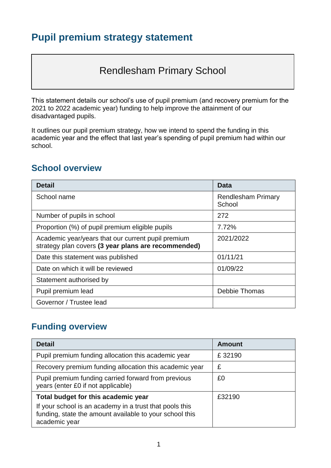# **Pupil premium strategy statement**

# Rendlesham Primary School

This statement details our school's use of pupil premium (and recovery premium for the 2021 to 2022 academic year) funding to help improve the attainment of our disadvantaged pupils.

It outlines our pupil premium strategy, how we intend to spend the funding in this academic year and the effect that last year's spending of pupil premium had within our school.

#### **School overview**

| <b>Detail</b>                                                                                             | Data                                |
|-----------------------------------------------------------------------------------------------------------|-------------------------------------|
| School name                                                                                               | <b>Rendlesham Primary</b><br>School |
| Number of pupils in school                                                                                | 272                                 |
| Proportion (%) of pupil premium eligible pupils                                                           | 7.72%                               |
| Academic year/years that our current pupil premium<br>strategy plan covers (3 year plans are recommended) | 2021/2022                           |
| Date this statement was published                                                                         | 01/11/21                            |
| Date on which it will be reviewed                                                                         | 01/09/22                            |
| Statement authorised by                                                                                   |                                     |
| Pupil premium lead                                                                                        | Debbie Thomas                       |
| Governor / Trustee lead                                                                                   |                                     |

#### **Funding overview**

| <b>Detail</b>                                                                                                                                                              | <b>Amount</b> |
|----------------------------------------------------------------------------------------------------------------------------------------------------------------------------|---------------|
| Pupil premium funding allocation this academic year                                                                                                                        | £32190        |
| Recovery premium funding allocation this academic year                                                                                                                     | £             |
| Pupil premium funding carried forward from previous<br>years (enter £0 if not applicable)                                                                                  | £0            |
| Total budget for this academic year<br>If your school is an academy in a trust that pools this<br>funding, state the amount available to your school this<br>academic year | £32190        |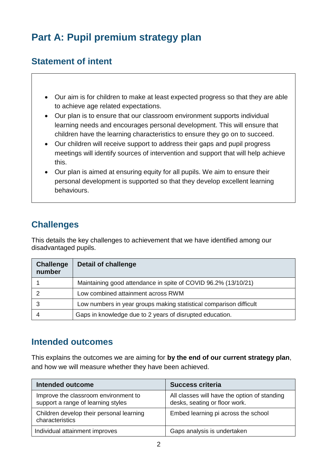# **Part A: Pupil premium strategy plan**

## **Statement of intent**

- Our aim is for children to make at least expected progress so that they are able to achieve age related expectations.
- Our plan is to ensure that our classroom environment supports individual learning needs and encourages personal development. This will ensure that children have the learning characteristics to ensure they go on to succeed.
- Our children will receive support to address their gaps and pupil progress meetings will identify sources of intervention and support that will help achieve this.
- Our plan is aimed at ensuring equity for all pupils. We aim to ensure their personal development is supported so that they develop excellent learning behaviours.

## **Challenges**

This details the key challenges to achievement that we have identified among our disadvantaged pupils.

| <b>Challenge</b><br>number | <b>Detail of challenge</b>                                         |
|----------------------------|--------------------------------------------------------------------|
|                            | Maintaining good attendance in spite of COVID 96.2% (13/10/21)     |
|                            | Low combined attainment across RWM                                 |
|                            | Low numbers in year groups making statistical comparison difficult |
|                            | Gaps in knowledge due to 2 years of disrupted education.           |

#### **Intended outcomes**

This explains the outcomes we are aiming for **by the end of our current strategy plan**, and how we will measure whether they have been achieved.

| <b>Intended outcome</b>                                                    | <b>Success criteria</b>                                                       |
|----------------------------------------------------------------------------|-------------------------------------------------------------------------------|
| Improve the classroom environment to<br>support a range of learning styles | All classes will have the option of standing<br>desks, seating or floor work. |
| Children develop their personal learning<br>characteristics                | Embed learning pi across the school                                           |
| Individual attainment improves                                             | Gaps analysis is undertaken                                                   |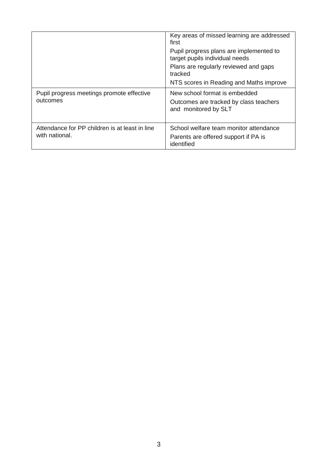|                                                                  | Key areas of missed learning are addressed<br>first<br>Pupil progress plans are implemented to<br>target pupils individual needs<br>Plans are regularly reviewed and gaps<br>tracked<br>NTS scores in Reading and Maths improve |
|------------------------------------------------------------------|---------------------------------------------------------------------------------------------------------------------------------------------------------------------------------------------------------------------------------|
| Pupil progress meetings promote effective<br>outcomes            | New school format is embedded<br>Outcomes are tracked by class teachers<br>and monitored by SLT                                                                                                                                 |
| Attendance for PP children is at least in line<br>with national. | School welfare team monitor attendance<br>Parents are offered support if PA is<br>identified                                                                                                                                    |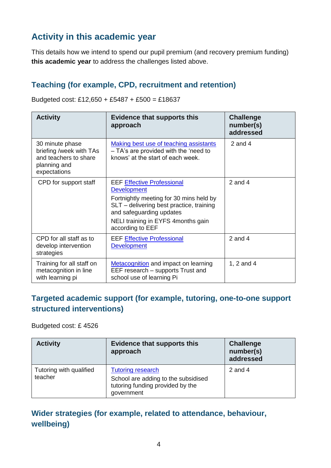# **Activity in this academic year**

This details how we intend to spend our pupil premium (and recovery premium funding) **this academic year** to address the challenges listed above.

#### **Teaching (for example, CPD, recruitment and retention)**

| <b>Activity</b>                                                                                     | <b>Evidence that supports this</b><br>approach                                                                                                                                                                                       | <b>Challenge</b><br>number(s)<br>addressed |
|-----------------------------------------------------------------------------------------------------|--------------------------------------------------------------------------------------------------------------------------------------------------------------------------------------------------------------------------------------|--------------------------------------------|
| 30 minute phase<br>briefing /week with TAs<br>and teachers to share<br>planning and<br>expectations | Making best use of teaching assistants<br>- TA's are provided with the 'need to<br>knows' at the start of each week.                                                                                                                 | 2 and $4$                                  |
| CPD for support staff                                                                               | <b>EEF Effective Professional</b><br><b>Development</b><br>Fortnightly meeting for 30 mins held by<br>SLT – delivering best practice, training<br>and safeguarding updates<br>NELI training in EYFS 4months gain<br>according to EEF | 2 and 4                                    |
| CPD for all staff as to<br>develop intervention<br>strategies                                       | <b>EEF Effective Professional</b><br><b>Development</b>                                                                                                                                                                              | 2 and $4$                                  |
| Training for all staff on<br>metacognition in line                                                  | <b>Metacognition</b> and impact on learning<br>EEF research – supports Trust and                                                                                                                                                     | 1, 2 and 4                                 |

Budgeted cost: £12,650 + £5487 + £500 = £18637

#### **Targeted academic support (for example, tutoring, one-to-one support structured interventions)**

school use of learning Pi

Budgeted cost: £ 4526

with learning pi

| <b>Activity</b>                    | <b>Evidence that supports this</b><br>approach                                                                    | <b>Challenge</b><br>number(s)<br>addressed |
|------------------------------------|-------------------------------------------------------------------------------------------------------------------|--------------------------------------------|
| Tutoring with qualified<br>teacher | <b>Tutoring research</b><br>School are adding to the subsidised<br>tutoring funding provided by the<br>government | 2 and $4$                                  |

#### **Wider strategies (for example, related to attendance, behaviour, wellbeing)**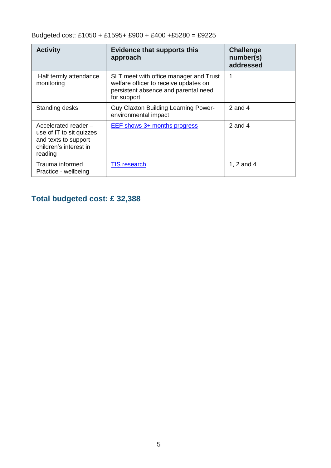Budgeted cost: £1050 + £1595+ £900 + £400 +£5280 = £9225

| <b>Activity</b>                                                                                               | <b>Evidence that supports this</b><br>approach                                                                                         | <b>Challenge</b><br>number(s)<br>addressed |
|---------------------------------------------------------------------------------------------------------------|----------------------------------------------------------------------------------------------------------------------------------------|--------------------------------------------|
| Half termly attendance<br>monitoring                                                                          | SLT meet with office manager and Trust<br>welfare officer to receive updates on<br>persistent absence and parental need<br>for support |                                            |
| Standing desks                                                                                                | <b>Guy Claxton Building Learning Power-</b><br>environmental impact                                                                    | 2 and 4                                    |
| Accelerated reader -<br>use of IT to sit quizzes<br>and texts to support<br>children's interest in<br>reading | EEF shows 3+ months progress                                                                                                           | 2 and $4$                                  |
| Trauma informed<br>Practice - wellbeing                                                                       | <b>TIS research</b>                                                                                                                    | 1, 2 and 4                                 |

## **Total budgeted cost: £ 32,388**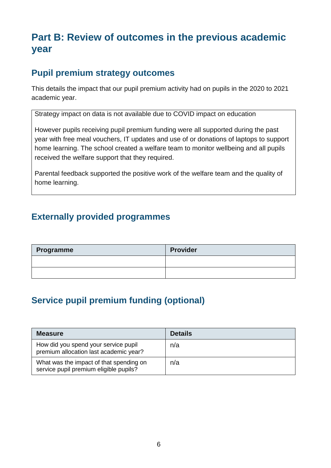# **Part B: Review of outcomes in the previous academic year**

## **Pupil premium strategy outcomes**

This details the impact that our pupil premium activity had on pupils in the 2020 to 2021 academic year.

Strategy impact on data is not available due to COVID impact on education

However pupils receiving pupil premium funding were all supported during the past year with free meal vouchers, IT updates and use of or donations of laptops to support home learning. The school created a welfare team to monitor wellbeing and all pupils received the welfare support that they required.

Parental feedback supported the positive work of the welfare team and the quality of home learning.

## **Externally provided programmes**

| Programme | <b>Provider</b> |
|-----------|-----------------|
|           |                 |
|           |                 |

# **Service pupil premium funding (optional)**

| <b>Measure</b>                                                                    | <b>Details</b> |
|-----------------------------------------------------------------------------------|----------------|
| How did you spend your service pupil<br>premium allocation last academic year?    | n/a            |
| What was the impact of that spending on<br>service pupil premium eligible pupils? | n/a            |